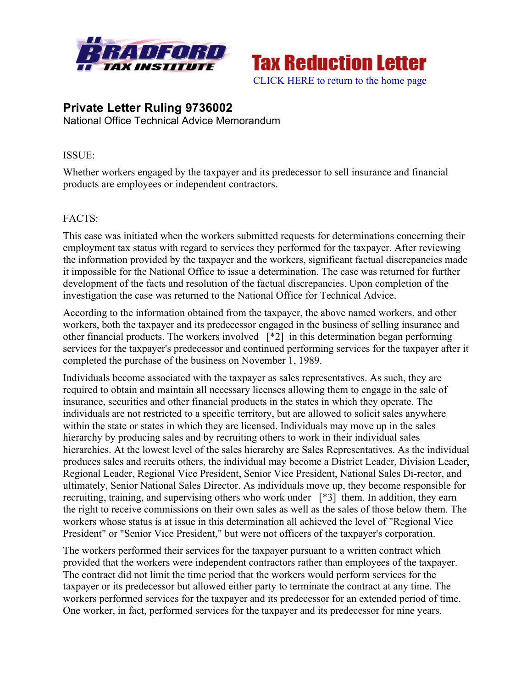



# **Private Letter Ruling 9736002** National Office Technical Advice Memorandum

## ISSUE:

Whether workers engaged by the taxpayer and its predecessor to sell insurance and financial products are employees or independent contractors.

## FACTS:

This case was initiated when the workers submitted requests for determinations concerning their employment tax status with regard to services they performed for the taxpayer. After reviewing the information provided by the taxpayer and the workers, significant factual discrepancies made it impossible for the National Office to issue a determination. The case was returned for further development of the facts and resolution of the factual discrepancies. Upon completion of the investigation the case was returned to the National Office for Technical Advice.

According to the information obtained from the taxpayer, the above named workers, and other workers, both the taxpayer and its predecessor engaged in the business of selling insurance and other financial products. The workers involved [\*2] in this determination began performing services for the taxpayer's predecessor and continued performing services for the taxpayer after it completed the purchase of the business on November 1, 1989.

Individuals become associated with the taxpayer as sales representatives. As such, they are required to obtain and maintain all necessary licenses allowing them to engage in the sale of insurance, securities and other financial products in the states in which they operate. The individuals are not restricted to a specific territory, but are allowed to solicit sales anywhere within the state or states in which they are licensed. Individuals may move up in the sales hierarchy by producing sales and by recruiting others to work in their individual sales hierarchies. At the lowest level of the sales hierarchy are Sales Representatives. As the individual produces sales and recruits others, the individual may become a District Leader, Division Leader, Regional Leader, Regional Vice President, Senior Vice President, National Sales Di-rector, and ultimately, Senior National Sales Director. As individuals move up, they become responsible for recruiting, training, and supervising others who work under [\*3] them. In addition, they earn the right to receive commissions on their own sales as well as the sales of those below them. The workers whose status is at issue in this determination all achieved the level of "Regional Vice President" or "Senior Vice President," but were not officers of the taxpayer's corporation.

The workers performed their services for the taxpayer pursuant to a written contract which provided that the workers were independent contractors rather than employees of the taxpayer. The contract did not limit the time period that the workers would perform services for the taxpayer or its predecessor but allowed either party to terminate the contract at any time. The workers performed services for the taxpayer and its predecessor for an extended period of time. One worker, in fact, performed services for the taxpayer and its predecessor for nine years.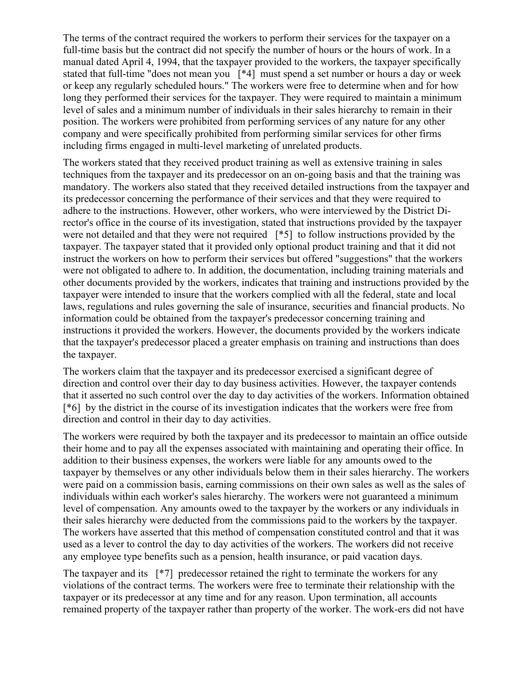The terms of the contract required the workers to perform their services for the taxpayer on a full-time basis but the contract did not specify the number of hours or the hours of work. In a manual dated April 4, 1994, that the taxpayer provided to the workers, the taxpayer specifically stated that full-time "does not mean you [\*4] must spend a set number or hours a day or week or keep any regularly scheduled hours." The workers were free to determine when and for how long they performed their services for the taxpayer. They were required to maintain a minimum level of sales and a minimum number of individuals in their sales hierarchy to remain in their position. The workers were prohibited from performing services of any nature for any other company and were specifically prohibited from performing similar services for other firms including firms engaged in multi-level marketing of unrelated products.

The workers stated that they received product training as well as extensive training in sales techniques from the taxpayer and its predecessor on an on-going basis and that the training was mandatory. The workers also stated that they received detailed instructions from the taxpayer and its predecessor concerning the performance of their services and that they were required to adhere to the instructions. However, other workers, who were interviewed by the District Director's office in the course of its investigation, stated that instructions provided by the taxpayer were not detailed and that they were not required [\*5] to follow instructions provided by the taxpayer. The taxpayer stated that it provided only optional product training and that it did not instruct the workers on how to perform their services but offered "suggestions" that the workers were not obligated to adhere to. In addition, the documentation, including training materials and other documents provided by the workers, indicates that training and instructions provided by the taxpayer were intended to insure that the workers complied with all the federal, state and local laws, regulations and rules governing the sale of insurance, securities and financial products. No information could be obtained from the taxpayer's predecessor concerning training and instructions it provided the workers. However, the documents provided by the workers indicate that the taxpayer's predecessor placed a greater emphasis on training and instructions than does the taxpayer.

The workers claim that the taxpayer and its predecessor exercised a significant degree of direction and control over their day to day business activities. However, the taxpayer contends that it asserted no such control over the day to day activities of the workers. Information obtained [\*6] by the district in the course of its investigation indicates that the workers were free from direction and control in their day to day activities.

The workers were required by both the taxpayer and its predecessor to maintain an office outside their home and to pay all the expenses associated with maintaining and operating their office. In addition to their business expenses, the workers were liable for any amounts owed to the taxpayer by themselves or any other individuals below them in their sales hierarchy. The workers were paid on a commission basis, earning commissions on their own sales as well as the sales of individuals within each worker's sales hierarchy. The workers were not guaranteed a minimum level of compensation. Any amounts owed to the taxpayer by the workers or any individuals in their sales hierarchy were deducted from the commissions paid to the workers by the taxpayer. The workers have asserted that this method of compensation constituted control and that it was used as a lever to control the day to day activities of the workers. The workers did not receive any employee type benefits such as a pension, health insurance, or paid vacation days.

The taxpayer and its [\*7] predecessor retained the right to terminate the workers for any violations of the contract terms. The workers were free to terminate their relationship with the taxpayer or its predecessor at any time and for any reason. Upon termination, all accounts remained property of the taxpayer rather than property of the worker. The work-ers did not have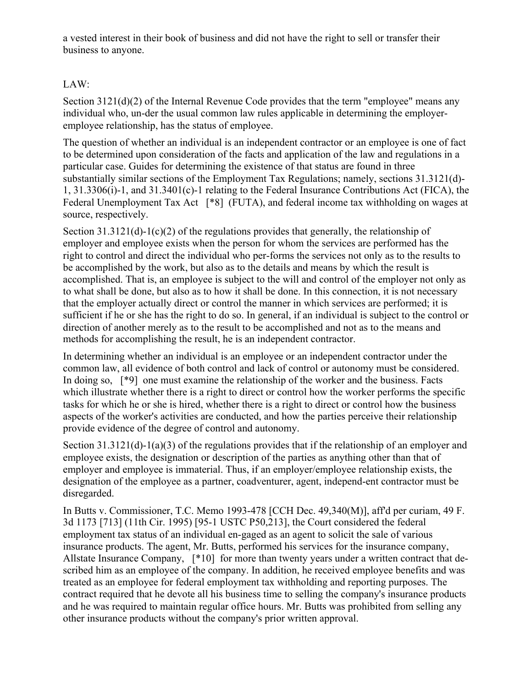a vested interest in their book of business and did not have the right to sell or transfer their business to anyone.

## LAW:

Section 3121(d)(2) of the Internal Revenue Code provides that the term "employee" means any individual who, un-der the usual common law rules applicable in determining the employeremployee relationship, has the status of employee.

The question of whether an individual is an independent contractor or an employee is one of fact to be determined upon consideration of the facts and application of the law and regulations in a particular case. Guides for determining the existence of that status are found in three substantially similar sections of the Employment Tax Regulations; namely, sections 31.3121(d)- 1, 31.3306(i)-1, and 31.3401(c)-1 relating to the Federal Insurance Contributions Act (FICA), the Federal Unemployment Tax Act [\*8] (FUTA), and federal income tax withholding on wages at source, respectively.

Section 31.3121(d)-1(c)(2) of the regulations provides that generally, the relationship of employer and employee exists when the person for whom the services are performed has the right to control and direct the individual who per-forms the services not only as to the results to be accomplished by the work, but also as to the details and means by which the result is accomplished. That is, an employee is subject to the will and control of the employer not only as to what shall be done, but also as to how it shall be done. In this connection, it is not necessary that the employer actually direct or control the manner in which services are performed; it is sufficient if he or she has the right to do so. In general, if an individual is subject to the control or direction of another merely as to the result to be accomplished and not as to the means and methods for accomplishing the result, he is an independent contractor.

In determining whether an individual is an employee or an independent contractor under the common law, all evidence of both control and lack of control or autonomy must be considered. In doing so, [\*9] one must examine the relationship of the worker and the business. Facts which illustrate whether there is a right to direct or control how the worker performs the specific tasks for which he or she is hired, whether there is a right to direct or control how the business aspects of the worker's activities are conducted, and how the parties perceive their relationship provide evidence of the degree of control and autonomy.

Section 31.3121(d)-1(a)(3) of the regulations provides that if the relationship of an employer and employee exists, the designation or description of the parties as anything other than that of employer and employee is immaterial. Thus, if an employer/employee relationship exists, the designation of the employee as a partner, coadventurer, agent, independ-ent contractor must be disregarded.

In Butts v. Commissioner, T.C. Memo 1993-478 [CCH Dec. 49,340(M)], aff'd per curiam, 49 F. 3d 1173 [713] (11th Cir. 1995) [95-1 USTC P50,213], the Court considered the federal employment tax status of an individual en-gaged as an agent to solicit the sale of various insurance products. The agent, Mr. Butts, performed his services for the insurance company, Allstate Insurance Company, [\*10] for more than twenty years under a written contract that described him as an employee of the company. In addition, he received employee benefits and was treated as an employee for federal employment tax withholding and reporting purposes. The contract required that he devote all his business time to selling the company's insurance products and he was required to maintain regular office hours. Mr. Butts was prohibited from selling any other insurance products without the company's prior written approval.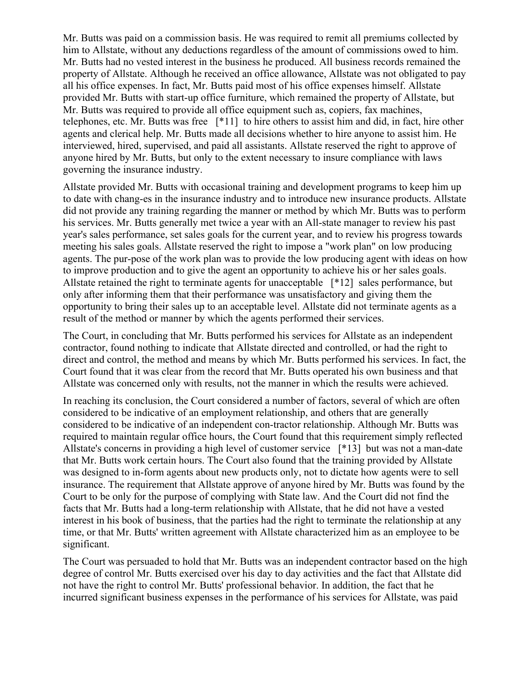Mr. Butts was paid on a commission basis. He was required to remit all premiums collected by him to Allstate, without any deductions regardless of the amount of commissions owed to him. Mr. Butts had no vested interest in the business he produced. All business records remained the property of Allstate. Although he received an office allowance, Allstate was not obligated to pay all his office expenses. In fact, Mr. Butts paid most of his office expenses himself. Allstate provided Mr. Butts with start-up office furniture, which remained the property of Allstate, but Mr. Butts was required to provide all office equipment such as, copiers, fax machines, telephones, etc. Mr. Butts was free [\*11] to hire others to assist him and did, in fact, hire other agents and clerical help. Mr. Butts made all decisions whether to hire anyone to assist him. He interviewed, hired, supervised, and paid all assistants. Allstate reserved the right to approve of anyone hired by Mr. Butts, but only to the extent necessary to insure compliance with laws governing the insurance industry.

Allstate provided Mr. Butts with occasional training and development programs to keep him up to date with chang-es in the insurance industry and to introduce new insurance products. Allstate did not provide any training regarding the manner or method by which Mr. Butts was to perform his services. Mr. Butts generally met twice a year with an All-state manager to review his past year's sales performance, set sales goals for the current year, and to review his progress towards meeting his sales goals. Allstate reserved the right to impose a "work plan" on low producing agents. The pur-pose of the work plan was to provide the low producing agent with ideas on how to improve production and to give the agent an opportunity to achieve his or her sales goals. Allstate retained the right to terminate agents for unacceptable [\*12] sales performance, but only after informing them that their performance was unsatisfactory and giving them the opportunity to bring their sales up to an acceptable level. Allstate did not terminate agents as a result of the method or manner by which the agents performed their services.

The Court, in concluding that Mr. Butts performed his services for Allstate as an independent contractor, found nothing to indicate that Allstate directed and controlled, or had the right to direct and control, the method and means by which Mr. Butts performed his services. In fact, the Court found that it was clear from the record that Mr. Butts operated his own business and that Allstate was concerned only with results, not the manner in which the results were achieved.

In reaching its conclusion, the Court considered a number of factors, several of which are often considered to be indicative of an employment relationship, and others that are generally considered to be indicative of an independent con-tractor relationship. Although Mr. Butts was required to maintain regular office hours, the Court found that this requirement simply reflected Allstate's concerns in providing a high level of customer service [\*13] but was not a man-date that Mr. Butts work certain hours. The Court also found that the training provided by Allstate was designed to in-form agents about new products only, not to dictate how agents were to sell insurance. The requirement that Allstate approve of anyone hired by Mr. Butts was found by the Court to be only for the purpose of complying with State law. And the Court did not find the facts that Mr. Butts had a long-term relationship with Allstate, that he did not have a vested interest in his book of business, that the parties had the right to terminate the relationship at any time, or that Mr. Butts' written agreement with Allstate characterized him as an employee to be significant.

The Court was persuaded to hold that Mr. Butts was an independent contractor based on the high degree of control Mr. Butts exercised over his day to day activities and the fact that Allstate did not have the right to control Mr. Butts' professional behavior. In addition, the fact that he incurred significant business expenses in the performance of his services for Allstate, was paid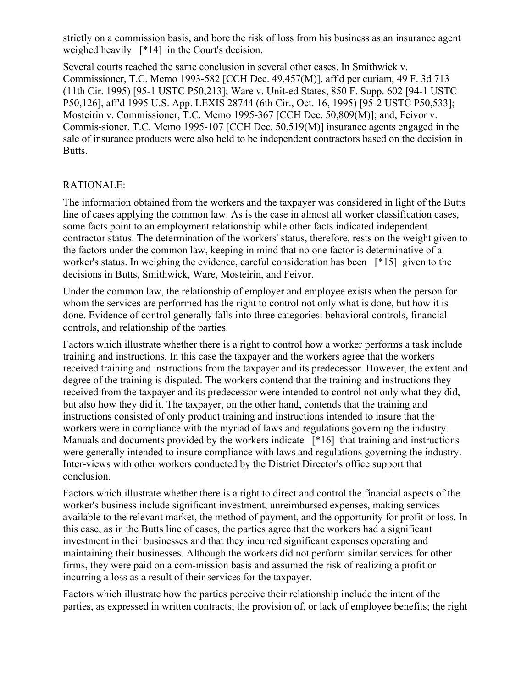strictly on a commission basis, and bore the risk of loss from his business as an insurance agent weighed heavily [\*14] in the Court's decision.

Several courts reached the same conclusion in several other cases. In Smithwick v. Commissioner, T.C. Memo 1993-582 [CCH Dec. 49,457(M)], aff'd per curiam, 49 F. 3d 713 (11th Cir. 1995) [95-1 USTC P50,213]; Ware v. Unit-ed States, 850 F. Supp. 602 [94-1 USTC P50,126], aff'd 1995 U.S. App. LEXIS 28744 (6th Cir., Oct. 16, 1995) [95-2 USTC P50,533]; Mosteirin v. Commissioner, T.C. Memo 1995-367 [CCH Dec. 50,809(M)]; and, Feivor v. Commis-sioner, T.C. Memo 1995-107 [CCH Dec. 50,519(M)] insurance agents engaged in the sale of insurance products were also held to be independent contractors based on the decision in Butts.

### RATIONALE:

The information obtained from the workers and the taxpayer was considered in light of the Butts line of cases applying the common law. As is the case in almost all worker classification cases, some facts point to an employment relationship while other facts indicated independent contractor status. The determination of the workers' status, therefore, rests on the weight given to the factors under the common law, keeping in mind that no one factor is determinative of a worker's status. In weighing the evidence, careful consideration has been [\*15] given to the decisions in Butts, Smithwick, Ware, Mosteirin, and Feivor.

Under the common law, the relationship of employer and employee exists when the person for whom the services are performed has the right to control not only what is done, but how it is done. Evidence of control generally falls into three categories: behavioral controls, financial controls, and relationship of the parties.

Factors which illustrate whether there is a right to control how a worker performs a task include training and instructions. In this case the taxpayer and the workers agree that the workers received training and instructions from the taxpayer and its predecessor. However, the extent and degree of the training is disputed. The workers contend that the training and instructions they received from the taxpayer and its predecessor were intended to control not only what they did, but also how they did it. The taxpayer, on the other hand, contends that the training and instructions consisted of only product training and instructions intended to insure that the workers were in compliance with the myriad of laws and regulations governing the industry. Manuals and documents provided by the workers indicate [\*16] that training and instructions were generally intended to insure compliance with laws and regulations governing the industry. Inter-views with other workers conducted by the District Director's office support that conclusion.

Factors which illustrate whether there is a right to direct and control the financial aspects of the worker's business include significant investment, unreimbursed expenses, making services available to the relevant market, the method of payment, and the opportunity for profit or loss. In this case, as in the Butts line of cases, the parties agree that the workers had a significant investment in their businesses and that they incurred significant expenses operating and maintaining their businesses. Although the workers did not perform similar services for other firms, they were paid on a com-mission basis and assumed the risk of realizing a profit or incurring a loss as a result of their services for the taxpayer.

Factors which illustrate how the parties perceive their relationship include the intent of the parties, as expressed in written contracts; the provision of, or lack of employee benefits; the right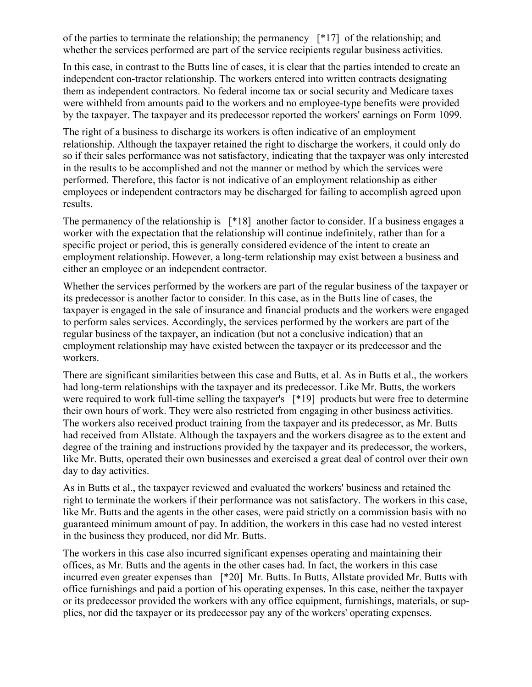of the parties to terminate the relationship; the permanency [\*17] of the relationship; and whether the services performed are part of the service recipients regular business activities.

In this case, in contrast to the Butts line of cases, it is clear that the parties intended to create an independent con-tractor relationship. The workers entered into written contracts designating them as independent contractors. No federal income tax or social security and Medicare taxes were withheld from amounts paid to the workers and no employee-type benefits were provided by the taxpayer. The taxpayer and its predecessor reported the workers' earnings on Form 1099.

The right of a business to discharge its workers is often indicative of an employment relationship. Although the taxpayer retained the right to discharge the workers, it could only do so if their sales performance was not satisfactory, indicating that the taxpayer was only interested in the results to be accomplished and not the manner or method by which the services were performed. Therefore, this factor is not indicative of an employment relationship as either employees or independent contractors may be discharged for failing to accomplish agreed upon results.

The permanency of the relationship is [\*18] another factor to consider. If a business engages a worker with the expectation that the relationship will continue indefinitely, rather than for a specific project or period, this is generally considered evidence of the intent to create an employment relationship. However, a long-term relationship may exist between a business and either an employee or an independent contractor.

Whether the services performed by the workers are part of the regular business of the taxpayer or its predecessor is another factor to consider. In this case, as in the Butts line of cases, the taxpayer is engaged in the sale of insurance and financial products and the workers were engaged to perform sales services. Accordingly, the services performed by the workers are part of the regular business of the taxpayer, an indication (but not a conclusive indication) that an employment relationship may have existed between the taxpayer or its predecessor and the workers.

There are significant similarities between this case and Butts, et al. As in Butts et al., the workers had long-term relationships with the taxpayer and its predecessor. Like Mr. Butts, the workers were required to work full-time selling the taxpayer's [\*19] products but were free to determine their own hours of work. They were also restricted from engaging in other business activities. The workers also received product training from the taxpayer and its predecessor, as Mr. Butts had received from Allstate. Although the taxpayers and the workers disagree as to the extent and degree of the training and instructions provided by the taxpayer and its predecessor, the workers, like Mr. Butts, operated their own businesses and exercised a great deal of control over their own day to day activities.

As in Butts et al., the taxpayer reviewed and evaluated the workers' business and retained the right to terminate the workers if their performance was not satisfactory. The workers in this case, like Mr. Butts and the agents in the other cases, were paid strictly on a commission basis with no guaranteed minimum amount of pay. In addition, the workers in this case had no vested interest in the business they produced, nor did Mr. Butts.

The workers in this case also incurred significant expenses operating and maintaining their offices, as Mr. Butts and the agents in the other cases had. In fact, the workers in this case incurred even greater expenses than [\*20] Mr. Butts. In Butts, Allstate provided Mr. Butts with office furnishings and paid a portion of his operating expenses. In this case, neither the taxpayer or its predecessor provided the workers with any office equipment, furnishings, materials, or supplies, nor did the taxpayer or its predecessor pay any of the workers' operating expenses.